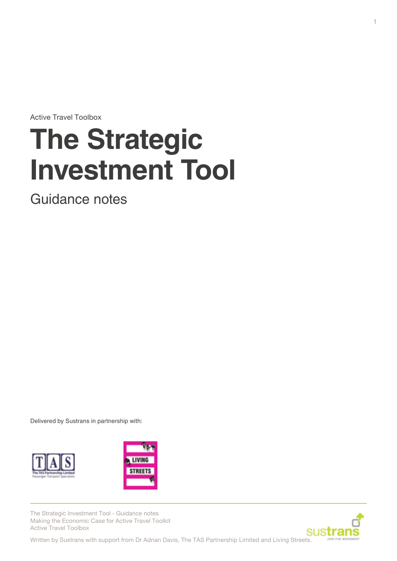Active Travel Toolbox

# **The Strategic Investment Tool**

Guidance notes

Delivered by Sustrans in partnership with:





The Strategic Investment Tool - Guidance notes Making the Economic Case for Active Travel Toolkit Active Travel Toolbox

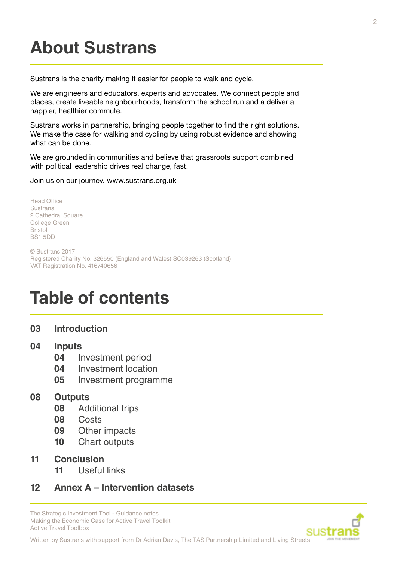## **About Sustrans**

Sustrans is the charity making it easier for people to walk and cycle.

We are engineers and educators, experts and advocates. We connect people and places, create liveable neighbourhoods, transform the school run and a deliver a happier, healthier commute.

Sustrans works in partnership, bringing people together to find the right solutions. We make the case for walking and cycling by using robust evidence and showing what can be done.

We are grounded in communities and believe that grassroots support combined with political leadership drives real change, fast.

Join us on our journey. www.sustrans.org.uk

Head Office Sustrans 2 Cathedral Square College Green Bristol BS1 5DD

© Sustrans 2017 Registered Charity No. 326550 (England and Wales) SC039263 (Scotland) VAT Registration No. 416740656

## **Table of contents**

#### **03 [Introduction](#page-2-0)**

#### **04 [Inputs](#page-3-0)**

- **04** [Investment period](#page-3-0)
- **04** [Investment location](#page-3-0)
- **05** [Investment programme](#page-4-0)

#### **08 [Outputs](#page-7-0)**

- **08** [Additional trips](#page-7-0)
- **08** [Costs](#page-7-0)
- **09** [Other impacts](#page-8-0)
- **10** [Chart outputs](#page-9-0)
- **11 [Conclusion](#page-10-0)**
	- **11** [Useful links](#page-10-0)

#### **12 [Annex A – Intervention datasets](#page-11-0)**

The Strategic Investment Tool - Guidance notes Making the Economic Case for Active Travel Toolkit Active Travel Toolbox

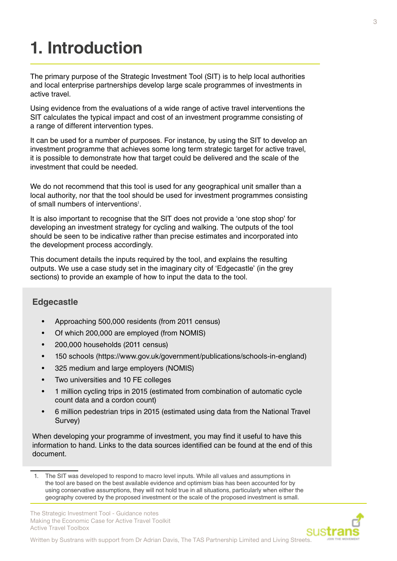## <span id="page-2-0"></span>**1. Introduction**

The primary purpose of the Strategic Investment Tool (SIT) is to help local authorities and local enterprise partnerships develop large scale programmes of investments in active travel.

Using evidence from the evaluations of a wide range of active travel interventions the SIT calculates the typical impact and cost of an investment programme consisting of a range of different intervention types.

It can be used for a number of purposes. For instance, by using the SIT to develop an investment programme that achieves some long term strategic target for active travel, it is possible to demonstrate how that target could be delivered and the scale of the investment that could be needed.

We do not recommend that this tool is used for any geographical unit smaller than a local authority, nor that the tool should be used for investment programmes consisting of small numbers of interventions<sup>1</sup>.

It is also important to recognise that the SIT does not provide a 'one stop shop' for developing an investment strategy for cycling and walking. The outputs of the tool should be seen to be indicative rather than precise estimates and incorporated into the development process accordingly.

This document details the inputs required by the tool, and explains the resulting outputs. We use a case study set in the imaginary city of 'Edgecastle' (in the grey sections) to provide an example of how to input the data to the tool.

#### **Edgecastle**

- Approaching 500,000 residents (from 2011 census)
- Of which 200,000 are employed (from NOMIS)
- 200,000 households (2011 census)
- 150 schools (https://www.gov.uk/government/publications/schools-in-england)
- 325 medium and large employers (NOMIS)
- Two universities and 10 FE colleges
- 1 million cycling trips in 2015 (estimated from combination of automatic cycle count data and a cordon count)
- 6 million pedestrian trips in 2015 (estimated using data from the National Travel Survey)

When developing your programme of investment, you may find it useful to have this information to hand. Links to the data sources identified can be found at the end of this document.

The Strategic Investment Tool - Guidance notes Making the Economic Case for Active Travel Toolkit Active Travel Toolbox



The SIT was developed to respond to macro level inputs. While all values and assumptions in the tool are based on the best available evidence and optimism bias has been accounted for by using conservative assumptions, they will not hold true in all situations, particularly when either the geography covered by the proposed investment or the scale of the proposed investment is small.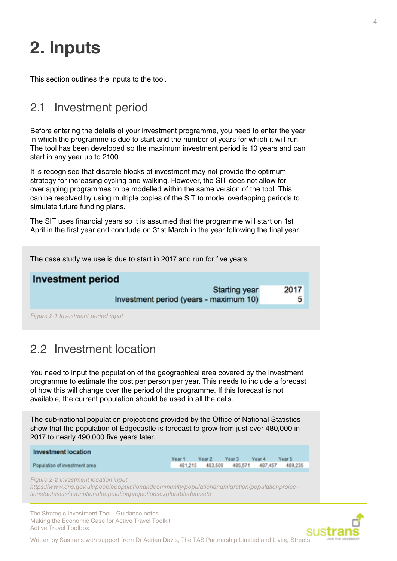## <span id="page-3-0"></span>**2. Inputs**

This section outlines the inputs to the tool.

### 2.1 Investment period

Before entering the details of your investment programme, you need to enter the year in which the programme is due to start and the number of years for which it will run. The tool has been developed so the maximum investment period is 10 years and can start in any year up to 2100.

It is recognised that discrete blocks of investment may not provide the optimum strategy for increasing cycling and walking. However, the SIT does not allow for overlapping programmes to be modelled within the same version of the tool. This can be resolved by using multiple copies of the SIT to model overlapping periods to simulate future funding plans.

The SIT uses financial years so it is assumed that the programme will start on 1st April in the first year and conclude on 31st March in the year following the final year.

The case study we use is due to start in 2017 and run for five years. **Investment period Starting year** 2017 Investment period (years - maximum 10) 5 *Figure 2-1 Investment period input*

### 2.2 Investment location

You need to input the population of the geographical area covered by the investment programme to estimate the cost per person per year. This needs to include a forecast of how this will change over the period of the programme. If this forecast is not available, the current population should be used in all the cells.

The sub-national population projections provided by the Office of National Statistics show that the population of Edgecastle is forecast to grow from just over 480,000 in 2017 to nearly 490,000 five years later.

| Year 3<br>Year 4<br>Year 2<br>Year 5<br>Year 1<br>483,509 485,571 487,457<br>481,215 | Investment location           |  |  |         |
|--------------------------------------------------------------------------------------|-------------------------------|--|--|---------|
|                                                                                      |                               |  |  |         |
|                                                                                      | Population of investment area |  |  | 489,235 |

*Figure 2-2 Investment location input*

*https://www.ons.gov.uk/peoplepopulationandcommunity/populationandmigration/populationprojections/datasets/subnationalpopulationprojectionsexplorabledatasets*

The Strategic Investment Tool - Guidance notes Making the Economic Case for Active Travel Toolkit Active Travel Toolbox

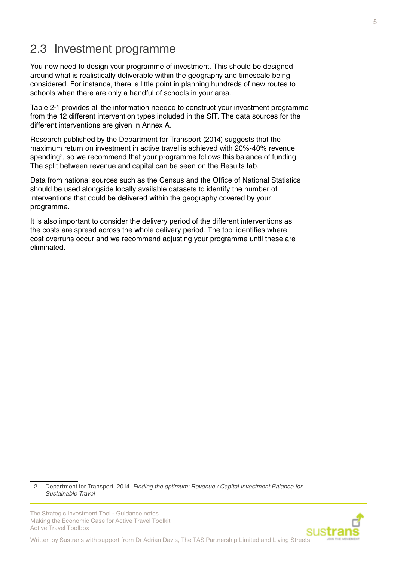### <span id="page-4-0"></span>2.3 Investment programme

You now need to design your programme of investment. This should be designed around what is realistically deliverable within the geography and timescale being considered. For instance, there is little point in planning hundreds of new routes to schools when there are only a handful of schools in your area.

Table 2-1 provides all the information needed to construct your investment programme from the 12 different intervention types included in the SIT. The data sources for the different interventions are given in Annex A.

Research published by the Department for Transport (2014) suggests that the maximum return on investment in active travel is achieved with 20%-40% revenue spending<sup>2</sup>, so we recommend that your programme follows this balance of funding. The split between revenue and capital can be seen on the Results tab.

Data from national sources such as the Census and the Office of National Statistics should be used alongside locally available datasets to identify the number of interventions that could be delivered within the geography covered by your programme.

It is also important to consider the delivery period of the different interventions as the costs are spread across the whole delivery period. The tool identifies where cost overruns occur and we recommend adjusting your programme until these are eliminated.

2. Department for Transport, 2014. *Finding the optimum: Revenue / Capital Investment Balance for Sustainable Travel*

The Strategic Investment Tool - Guidance notes Making the Economic Case for Active Travel Toolkit Active Travel Toolbox

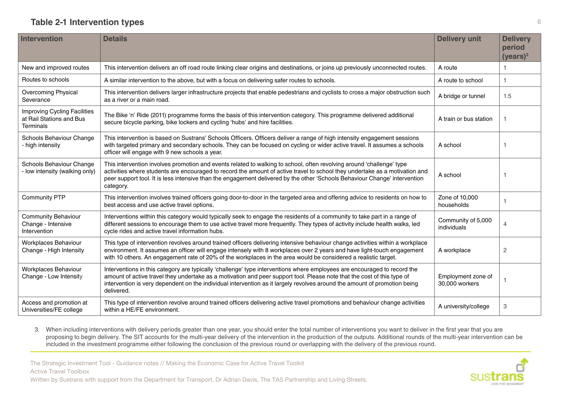#### **Table 2-1 Intervention types**

| Intervention                                                                        | <b>Details</b>                                                                                                                                                                                                                                                                                                                                                                                  | <b>Delivery unit</b>                 | <b>Delivery</b><br>period<br>(years) <sup>3</sup> |
|-------------------------------------------------------------------------------------|-------------------------------------------------------------------------------------------------------------------------------------------------------------------------------------------------------------------------------------------------------------------------------------------------------------------------------------------------------------------------------------------------|--------------------------------------|---------------------------------------------------|
| New and improved routes                                                             | This intervention delivers an off road route linking clear origins and destinations, or joins up previously unconnected routes.                                                                                                                                                                                                                                                                 | A route                              | 1                                                 |
| Routes to schools                                                                   | A similar intervention to the above, but with a focus on delivering safer routes to schools.                                                                                                                                                                                                                                                                                                    | A route to school                    | 1                                                 |
| Overcoming Physical<br>Severance                                                    | This intervention delivers larger infrastructure projects that enable pedestrians and cyclists to cross a major obstruction such<br>as a river or a main road.                                                                                                                                                                                                                                  | A bridge or tunnel                   | 1.5                                               |
| <b>Improving Cycling Facilities</b><br>at Rail Stations and Bus<br><b>Terminals</b> | The Bike 'n' Ride (2011) programme forms the basis of this intervention category. This programme delivered additional<br>secure bicycle parking, bike lockers and cycling 'hubs' and hire facilities.                                                                                                                                                                                           | A train or bus station               | 1                                                 |
| Schools Behaviour Change<br>- high intensity                                        | This intervention is based on Sustrans' Schools Officers. Officers deliver a range of high intensity engagement sessions<br>with targeted primary and secondary schools. They can be focused on cycling or wider active travel. It assumes a schools<br>officer will engage with 9 new schools a year.                                                                                          | A school                             |                                                   |
| Schools Behaviour Change<br>- low intensity (walking only)                          | This intervention involves promotion and events related to walking to school, often revolving around 'challenge' type<br>activities where students are encouraged to record the amount of active travel to school they undertake as a motivation and<br>peer support tool. It is less intensive than the engagement delivered by the other 'Schools Behaviour Change' intervention<br>category. | A school                             | 1                                                 |
| <b>Community PTP</b>                                                                | This intervention involves trained officers going door-to-door in the targeted area and offering advice to residents on how to<br>best access and use active travel options.                                                                                                                                                                                                                    | Zone of 10,000<br>households         |                                                   |
| <b>Community Behaviour</b><br>Change - Intensive<br>Intervention                    | Interventions within this category would typically seek to engage the residents of a community to take part in a range of<br>different sessions to encourage them to use active travel more frequently. They types of activity include health walks, led<br>cycle rides and active travel information hubs.                                                                                     | Community of 5,000<br>individuals    | $\overline{4}$                                    |
| Workplaces Behaviour<br>Change - High Intensity                                     | This type of intervention revolves around trained officers delivering intensive behaviour change activities within a workplace<br>environment. It assumes an officer will engage intensely with 8 workplaces over 2 years and have light-touch engagement<br>with 10 others. An engagement rate of 20% of the workplaces in the area would be considered a realistic target.                    | A workplace                          | 2                                                 |
| Workplaces Behaviour<br>Change - Low Intensity                                      | Interventions in this category are typically 'challenge' type interventions where employees are encouraged to record the<br>amount of active travel they undertake as a motivation and peer support tool. Please note that the cost of this type of<br>intervention is very dependent on the individual intervention as it largely revolves around the amount of promotion being<br>delivered.  | Employment zone of<br>30,000 workers |                                                   |
| Access and promotion at<br>Universities/FE college                                  | This type of intervention revolve around trained officers delivering active travel promotions and behaviour change activities<br>within a HE/FE environment.                                                                                                                                                                                                                                    | A university/college                 | 3                                                 |

3. When including interventions with delivery periods greater than one year, you should enter the total number of interventions you want to deliver in the first year that you are proposing to begin delivery. The SIT accounts for the multi-year delivery of the intervention in the production of the outputs. Additional rounds of the multi-year intervention can be included in the investment programme either following the conclusion of the previous round or overlapping with the delivery of the previous round.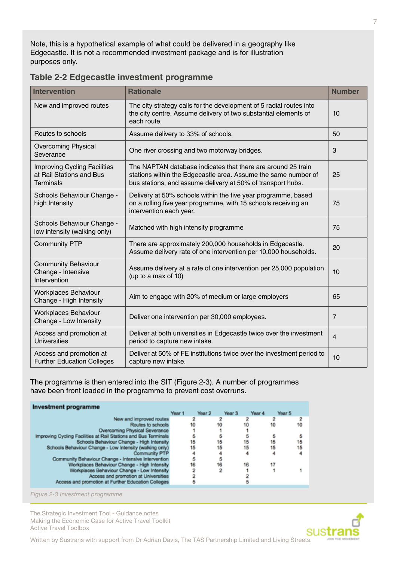Note, this is a hypothetical example of what could be delivered in a geography like Edgecastle. It is not a recommended investment package and is for illustration purposes only.

| <b>Intervention</b>                                                                 | <b>Rationale</b>                                                                                                                                                                              | <b>Number</b>  |
|-------------------------------------------------------------------------------------|-----------------------------------------------------------------------------------------------------------------------------------------------------------------------------------------------|----------------|
| New and improved routes                                                             | The city strategy calls for the development of 5 radial routes into<br>the city centre. Assume delivery of two substantial elements of<br>each route.                                         | 10             |
| Routes to schools                                                                   | Assume delivery to 33% of schools.                                                                                                                                                            | 50             |
| <b>Overcoming Physical</b><br>Severance                                             | One river crossing and two motorway bridges.                                                                                                                                                  | 3              |
| <b>Improving Cycling Facilities</b><br>at Rail Stations and Bus<br><b>Terminals</b> | The NAPTAN database indicates that there are around 25 train<br>stations within the Edgecastle area. Assume the same number of<br>bus stations, and assume delivery at 50% of transport hubs. | 25             |
| Schools Behaviour Change -<br>high Intensity                                        | Delivery at 50% schools within the five year programme, based<br>on a rolling five year programme, with 15 schools receiving an<br>intervention each year.                                    | 75             |
| Schools Behaviour Change -<br>low intensity (walking only)                          | Matched with high intensity programme                                                                                                                                                         | 75             |
| <b>Community PTP</b>                                                                | There are approximately 200,000 households in Edgecastle.<br>Assume delivery rate of one intervention per 10,000 households.                                                                  | 20             |
| <b>Community Behaviour</b><br>Change - Intensive<br>Intervention                    | Assume delivery at a rate of one intervention per 25,000 population<br>(up to a max of 10)                                                                                                    | 10             |
| <b>Workplaces Behaviour</b><br>Change - High Intensity                              | Aim to engage with 20% of medium or large employers                                                                                                                                           | 65             |
| <b>Workplaces Behaviour</b><br>Change - Low Intensity                               | Deliver one intervention per 30,000 employees.                                                                                                                                                | $\overline{7}$ |
| Access and promotion at<br><b>Universities</b>                                      | Deliver at both universities in Edgecastle twice over the investment<br>period to capture new intake.                                                                                         | $\overline{4}$ |
| Access and promotion at<br><b>Further Education Colleges</b>                        | Deliver at 50% of FE institutions twice over the investment period to<br>capture new intake.                                                                                                  | 10             |

#### **Table 2-2 Edgecastle investment programme**

The programme is then entered into the SIT (Figure 2-3). A number of programmes have been front loaded in the programme to prevent cost overruns.

| Investment programme                                            |        |        |        |        |        |
|-----------------------------------------------------------------|--------|--------|--------|--------|--------|
|                                                                 | Year 1 | Year 2 | Year 3 | Year 4 | Year 5 |
| New and improved routes                                         |        |        |        |        |        |
| Routes to schools                                               | 10     | 10     |        |        | 10     |
| Overcoming Physical Severance                                   |        |        |        |        |        |
| Improving Cycling Facilities at Rail Stations and Bus Terminals |        |        |        |        |        |
| Schools Behaviour Change - High Intensity                       | 15     | 15     | 15     | 15     | 15     |
| Schools Behaviour Change - Low Intensity (walking only)         | 15     | 15     | 15     | 15     | 15     |
| Community PTP                                                   |        |        |        |        |        |
| Community Behaviour Change - Intensive Intervention             | 5      |        |        |        |        |
| Workplaces Behaviour Change - High Intensity                    | 16     | 16     | 16     | 17     |        |
| Workplaces Behaviour Change - Low Intensity                     |        |        |        |        |        |
| Access and promotion at Universities                            |        |        |        |        |        |
| Access and promotion at Further Education Colleges              |        |        |        |        |        |
|                                                                 |        |        |        |        |        |

*Figure 2-3 Investment programme*

The Strategic Investment Tool - Guidance notes Making the Economic Case for Active Travel Toolkit Active Travel Toolbox

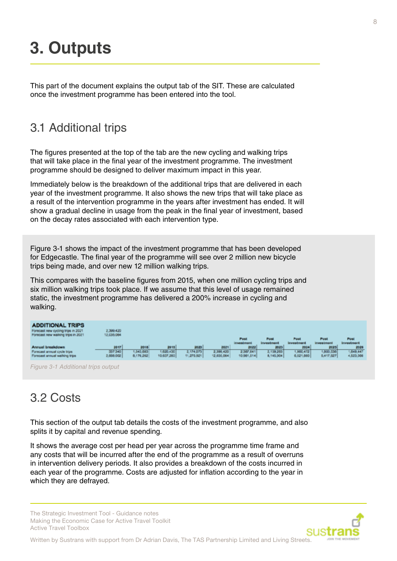## <span id="page-7-0"></span>**3. Outputs**

This part of the document explains the output tab of the SIT. These are calculated once the investment programme has been entered into the tool.

### 3.1 Additional trips

The figures presented at the top of the tab are the new cycling and walking trips that will take place in the final year of the investment programme. The investment programme should be designed to deliver maximum impact in this year.

Immediately below is the breakdown of the additional trips that are delivered in each year of the investment programme. It also shows the new trips that will take place as a result of the intervention programme in the years after investment has ended. It will show a gradual decline in usage from the peak in the final year of investment, based on the decay rates associated with each intervention type.

Figure 3-1 shows the impact of the investment programme that has been developed for Edgecastle. The final year of the programme will see over 2 million new bicycle trips being made, and over new 12 million walking trips.

This compares with the baseline figures from 2015, when one million cycling trips and six million walking trips took place. If we assume that this level of usage remained static, the investment programme has delivered a 200% increase in cycling and walking.

| <b>ADDITIONAL TRIPS</b><br>Forecast new cycling trips in 2021.<br>Forecast new walking trips in 2021. | 399.420<br>12,035,064 |           |            |            |            |                     |                   |                   |              |            |
|-------------------------------------------------------------------------------------------------------|-----------------------|-----------|------------|------------|------------|---------------------|-------------------|-------------------|--------------|------------|
|                                                                                                       |                       |           |            |            |            | <b>Post</b>         | Post              | Post              | <b>Post</b>  | Post       |
|                                                                                                       |                       |           |            |            |            | <b>Trymal ready</b> | <b>Investment</b> | <b>Investment</b> | rives irrent | irrestment |
| <b>Annual breakdown</b>                                                                               | 20-17                 | 2018      | 2919       | 2020       | 2021       | 2022                | 2023              | 2014              | 2025         | 2325       |
| Forecast annual cycle trips                                                                           | 207,340               | 343,683   | 1,020,430  | 2.174.073  | 2,396,420  | 2,387,641           | 1,159,205         | 1,900,472         | 1,000,530    | (049,647   |
| Forecast annual walking trips                                                                         | 2,008.002             | 8,178,282 | 10.637,203 | 11,275.921 | 12,035,064 | 10.001,514          | 8,145,904         | 6,621,860         | 5,417,027    | 4,523,566  |

*Figure 3-1 Additional trips output*

### 3.2 Costs

This section of the output tab details the costs of the investment programme, and also splits it by capital and revenue spending.

It shows the average cost per head per year across the programme time frame and any costs that will be incurred after the end of the programme as a result of overruns in intervention delivery periods. It also provides a breakdown of the costs incurred in each year of the programme. Costs are adjusted for inflation according to the year in which they are defrayed.

The Strategic Investment Tool - Guidance notes Making the Economic Case for Active Travel Toolkit Active Travel Toolbox

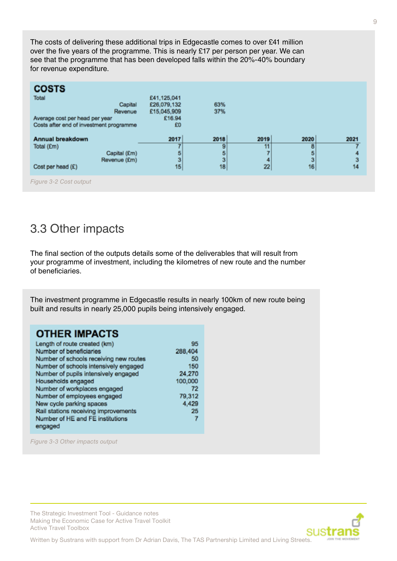<span id="page-8-0"></span>The costs of delivering these additional trips in Edgecastle comes to over £41 million over the five years of the programme. This is nearly £17 per person per year. We can see that the programme that has been developed falls within the 20%-40% boundary for revenue expenditure.

| <b>COSTS</b><br>Total<br>Average cost per head per year<br>Costs after end of investment programme | Capital<br>Revenue           | £41,125,041<br>£26,079,132<br>£15,045,909<br>£16.94<br>£O | 63%<br>37%                |                       |                           |                 |
|----------------------------------------------------------------------------------------------------|------------------------------|-----------------------------------------------------------|---------------------------|-----------------------|---------------------------|-----------------|
| Annual breakdown<br>Total (£m)<br>Cost per head (E)                                                | Capital (£m)<br>Revenue (£m) | 2017<br>5<br>3<br>15                                      | 2018<br>9<br>5<br>3<br>18 | 2019<br>11<br>4<br>22 | 2020<br>8<br>5<br>3<br>16 | 2021<br>з<br>14 |
| Figure 3-2 Cost output                                                                             |                              |                                                           |                           |                       |                           |                 |

3.3 Other impacts

The final section of the outputs details some of the deliverables that will result from your programme of investment, including the kilometres of new route and the number of beneficiaries.

The investment programme in Edgecastle results in nearly 100km of new route being built and results in nearly 25,000 pupils being intensively engaged.

#### **OTHER IMPACTS**

| Length of route created (km)           | 95      |
|----------------------------------------|---------|
| Number of beneficiaries                | 288,404 |
| Number of schools receiving new routes | 50      |
| Number of schools intensively engaged  | 150     |
| Number of pupils intensively engaged   | 24.270  |
| Households engaged                     | 100,000 |
| Number of workplaces engaged           | 72      |
| Number of employees engaged            | 79.312  |
| New cycle parking spaces               | 4.429   |
| Rail stations receiving improvements   | 21      |
| Number of HE and FE institutions       | 7       |
| engaged                                |         |
|                                        |         |

*Figure 3-3 Other impacts output*

The Strategic Investment Tool - Guidance notes Making the Economic Case for Active Travel Toolkit Active Travel Toolbox

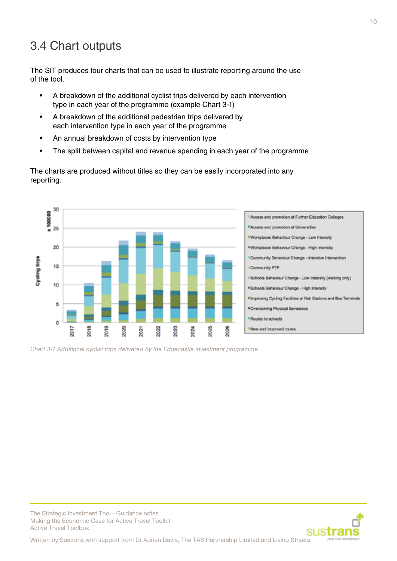### <span id="page-9-0"></span>3.4 Chart outputs

The SIT produces four charts that can be used to illustrate reporting around the use of the tool.

- A breakdown of the additional cyclist trips delivered by each intervention type in each year of the programme (example Chart 3-1)
- A breakdown of the additional pedestrian trips delivered by each intervention type in each year of the programme
- An annual breakdown of costs by intervention type
- The split between capital and revenue spending in each year of the programme

The charts are produced without titles so they can be easily incorporated into any reporting.



*Chart 3-1 Additional cyclist trips delivered by the Edgecastle investment programme*



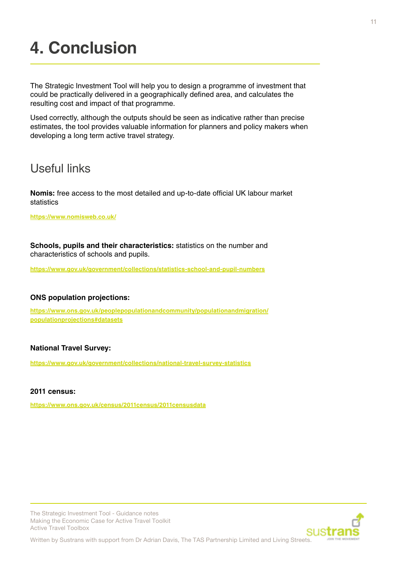## <span id="page-10-0"></span>**4. Conclusion**

The Strategic Investment Tool will help you to design a programme of investment that could be practically delivered in a geographically defined area, and calculates the resulting cost and impact of that programme.

Used correctly, although the outputs should be seen as indicative rather than precise estimates, the tool provides valuable information for planners and policy makers when developing a long term active travel strategy.

### Useful links

**Nomis:** free access to the most detailed and up-to-date official UK labour market statistics

**https://www.nomisweb.co.uk/**

**Schools, pupils and their characteristics:** statistics on the number and characteristics of schools and pupils.

**https://www.gov.uk/government/collections/statistics-school-and-pupil-numbers**

#### **ONS population projections:**

**https://www.ons.gov.uk/peoplepopulationandcommunity/populationandmigration/ populationprojections#datasets**

#### **National Travel Survey:**

**https://www.gov.uk/government/collections/national-travel-survey-statistics**

#### **2011 census:**

**https://www.ons.gov.uk/census/2011census/2011censusdata**